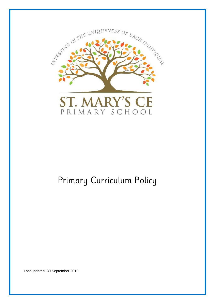

# Primary Curriculum Policy

Last updated: 30 September 2019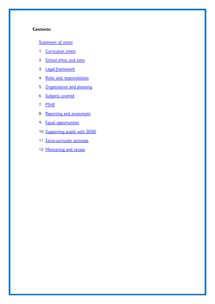#### **Contents:**

## [Statement of intent](#page-2-0)

- 1. [Curriculum intent](#page-3-0)
- 2. [School ethos and aims](#page-3-1)
- 3. [Legal framework](#page-5-0)
- 4. [Roles and responsibilities](#page-5-1)
- 5. [Organisation and planning](#page-7-0)
- 6. [Subjects covered](#page-9-0)
- 7. [PSHE](#page-10-0)
- 8. [Reporting and assessment](#page-10-1)
- 9. [Equal opportunities](#page-11-0)
- 10. [Supporting pupils with SEND](#page-11-1)
- 11. [Extra-curricular activities](#page-12-0)
- 12. [Monitoring and review](#page-12-1)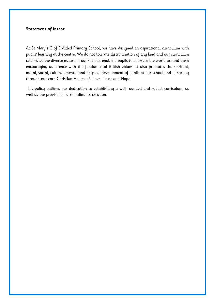#### <span id="page-2-0"></span>**Statement of intent**

At St Mary's C of E Aided Primary School, we have designed an aspirational curriculum with pupils' learning at the centre. We do not tolerate discrimination of any kind and our curriculum celebrates the diverse nature of our society, enabling pupils to embrace the world around them encouraging adherence with the fundamental British values. It also promotes the spiritual, moral, social, cultural, mental and physical development of pupils at our school and of society through our core Christian Values of: Love, Trust and Hope.

This policy outlines our dedication to establishing a well-rounded and robust curriculum, as well as the provisions surrounding its creation.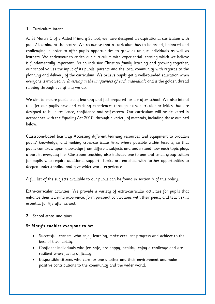#### <span id="page-3-0"></span>**1.** Curriculum intent

At St Mary's C of E Aided Primary School, we have designed an aspirational curriculum with pupils' learning at the centre. We recognise that a curriculum has to be broad, balanced and challenging in order to offer pupils opportunities to grow as unique individuals as well as learners. We endeavour to enrich our curriculum with experiential learning which we believe is fundamentally important. As an inclusive Christian family learning and growing together, our school values the input of its pupils, parents and the local community with regards to the planning and delivery of the curriculum. We believe pupils get a well-rounded education when everyone is involved in *'Investing in the uniqueness of each individual'*, and is the golden thread running through everything we do.

We aim to ensure pupils enjoy learning and feel prepared for life after school. We also intend to offer our pupils new and exciting experiences through extra-curricular activities that are designed to build resilience, confidence and self-esteem. Our curriculum will be delivered in accordance with the Equality Act 2010, through a variety of methods, including those outlined below.

Classroom-based learning: Accessing different learning resources and equipment to broaden pupils' knowledge, and making cross-curricular links where possible within lessons, so that pupils can draw upon knowledge from different subjects and understand how each topic plays a part in everyday life. Classroom teaching also includes one-to-one and small group tuition for pupils who require additional support. Topics are enriched with further opportunities to deepen understanding and give wider world experience.

A full list of the subjects available to our pupils can be found in [section 6](#page-9-0) of this policy.

Extra-curricular activities: We provide a variety of extra-curricular activities for pupils that enhance their learning experience, form personal connections with their peers, and teach skills essential for life after school.

### <span id="page-3-1"></span>**2.** School ethos and aims

### **St Mary's enables everyone to be:**

- Successful learners, who enjoy learning, make excellent progress and achieve to the best of their ability.
- Confident individuals who feel safe, are happy, healthy, enjoy a challenge and are resilient when facing difficulty.
- Responsible citizens who care for one another and their environment and make positive contributions to the community and the wider world.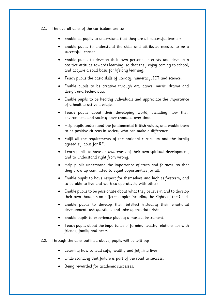- 2.1. The overall aims of the curriculum are to:
	- Enable all pupils to understand that they are all successful learners.
	- Enable pupils to understand the skills and attributes needed to be a successful learner.
	- Enable pupils to develop their own personal interests and develop a positive attitude towards learning, so that they enjoy coming to school, and acquire a solid basis for lifelong learning.
	- Teach pupils the basic skills of literacy, numeracy, ICT and science.
	- Enable pupils to be creative through art, dance, music, drama and design and technology.
	- Enable pupils to be healthy individuals and appreciate the importance of a healthy active lifestyle.
	- Teach pupils about their developing world, including how their environment and society have changed over time.
	- Help pupils understand the fundamental British values, and enable them to be positive citizens in society who can make a difference.
	- Fulfil all the requirements of the national curriculum and the locally agreed syllabus for RE.
	- Teach pupils to have an awareness of their own spiritual development, and to understand right from wrong.
	- Help pupils understand the importance of truth and fairness, so that they grow up committed to equal opportunities for all.
	- Enable pupils to have respect for themselves and high self-esteem, and to be able to live and work co-operatively with others.
	- Enable pupils to be passionate about what they believe in and to develop their own thoughts on different topics including the Rights of the Child.
	- Enable pupils to develop their intellect including their emotional development, ask questions and take appropriate risks.
	- Enable pupils to experience playing a musical instrument.
	- Teach pupils about the importance of forming healthy relationships with friends, family and peers.
- 2.2. Through the aims outlined above, pupils will benefit by:
	- Learning how to lead safe, healthy and fulfilling lives.
	- Understanding that failure is part of the road to success.
	- Being rewarded for academic successes.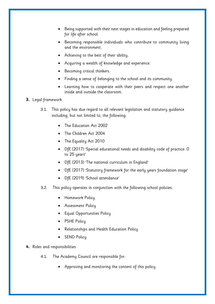- Being supported with their next stages in education and feeling prepared for life after school.
- Becoming responsible individuals who contribute to community living and the environment.
- Achieving to the best of their ability.
- Acquiring a wealth of knowledge and experience.
- Becoming critical thinkers.
- Finding a sense of belonging to the school and its community.
- Learning how to cooperate with their peers and respect one another inside and outside the classroom.

### <span id="page-5-0"></span>**3.** Legal framework

- 3.1. This policy has due regard to all relevant legislation and statutory guidance including, but not limited to, the following:
	- The Education Act 2002
	- The Children Act 2004
	- The Equality Act 2010
	- DfE (2017) 'Special educational needs and disability code of practice: 0 to 25 years'
	- DfE (2013) 'The national curriculum in England'
	- DfE (2017) 'Statutory framework for the early years foundation stage'
	- DfE (2019) 'School attendance'
- 3.2. This policy operates in conjunction with the following school policies:
	- Homework Policy
	- Assessment Policy
	- Equal Opportunities Policy
	- PSHE Policy
	- Relationships and Health Education Policy
	- SEND Policy

### <span id="page-5-1"></span>**4.** Roles and responsibilities

- 4.1. The Academy Council are responsible for:
	- Approving and monitoring the content of this policy.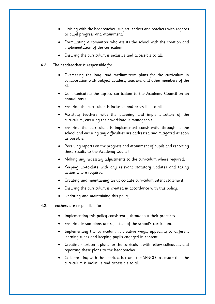- Liaising with the headteacher, subject leaders and teachers with regards to pupil progress and attainment.
- Formulating a committee who assists the school with the creation and implementation of the curriculum.
- Ensuring the curriculum is inclusive and accessible to all.
- 4.2. The headteacher is responsible for:
	- Overseeing the long- and medium-term plans for the curriculum in collaboration with Subject Leaders, teachers and other members of the SLT.
	- Communicating the agreed curriculum to the Academy Council on an annual basis.
	- Ensuring the curriculum is inclusive and accessible to all.
	- Assisting teachers with the planning and implementation of the curriculum, ensuring their workload is manageable.
	- Ensuring the curriculum is implemented consistently throughout the school and ensuring any difficulties are addressed and mitigated as soon as possible.
	- Receiving reports on the progress and attainment of pupils and reporting these results to the Academy Council.
	- Making any necessary adjustments to the curriculum where required.
	- Keeping up-to-date with any relevant statutory updates and taking action where required.
	- Creating and maintaining an up-to-date curriculum intent statement.
	- Ensuring the curriculum is created in accordance with this policy.
	- Updating and maintaining this policy.
- 4.3. Teachers are responsible for:
	- Implementing this policy consistently throughout their practices.
	- Ensuring lesson plans are reflective of the school's curriculum.
	- Implementing the curriculum in creative ways, appealing to different learning types and keeping pupils engaged in content.
	- Creating short-term plans for the curriculum with fellow colleagues and reporting these plans to the headteacher.
	- Collaborating with the headteacher and the SENCO to ensure that the curriculum is inclusive and accessible to all.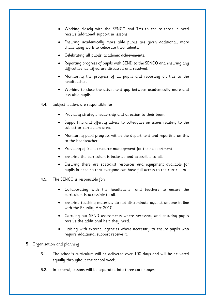- Working closely with the SENCO and TAs to ensure those in need receive additional support in lessons.
- Ensuring academically more able pupils are given additional, more challenging work to celebrate their talents.
- Celebrating all pupils' academic achievements.
- Reporting progress of pupils with SEND to the SENCO and ensuring any difficulties identified are discussed and resolved.
- Monitoring the progress of all pupils and reporting on this to the headteacher.
- Working to close the attainment gap between academically more and less able pupils.
- 4.4. Subject leaders are responsible for:
	- Providing strategic leadership and direction to their team.
	- Supporting and offering advice to colleagues on issues relating to the subject or curriculum area.
	- Monitoring pupil progress within the department and reporting on this to the headteacher.
	- Providing efficient resource management for their department.
	- Ensuring the curriculum is inclusive and accessible to all.
	- Ensuring there are specialist resources and equipment available for pupils in need so that everyone can have full access to the curriculum.
- 4.5. The SENCO is responsible for:
	- Collaborating with the headteacher and teachers to ensure the curriculum is accessible to all.
	- Ensuring teaching materials do not discriminate against anyone in line with the Equality Act 2010.
	- Carrying out SEND assessments where necessary and ensuring pupils receive the additional help they need.
	- Liaising with external agencies where necessary to ensure pupils who require additional support receive it.
- <span id="page-7-0"></span>**5.** Organisation and planning
	- 5.1. The school's curriculum will be delivered over 190 days and will be delivered equally throughout the school week.
	- 5.2. In general, lessons will be separated into three core stages: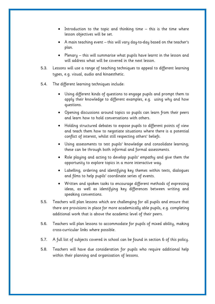- Introduction to the topic and thinking time this is the time where lesson objectives will be set.
- A main teaching event this will vary day-to-day based on the teacher's plan.
- Plenary this will summarise what pupils have learnt in the lesson and will address what will be covered in the next lesson.
- 5.3. Lessons will use a range of teaching techniques to appeal to different learning types, e.g. visual, audio and kinaesthetic.
- 5.4. The different learning techniques include:
	- Using different kinds of questions to engage pupils and prompt them to apply their knowledge to different examples, e.g. using why and how questions.
	- Opening discussions around topics so pupils can learn from their peers and learn how to hold conversations with others.
	- Holding structured debates to expose pupils to different points of view and teach them how to negotiate situations where there is a potential conflict of interest, whilst still respecting others' beliefs.
	- Using assessments to test pupils' knowledge and consolidate learning; these can be through both informal and formal assessments.
	- Role playing and acting to develop pupils' empathy and give them the opportunity to explore topics in a more interactive way.
	- Labelling, ordering and identifying key themes within texts, dialogues and films to help pupils' coordinate series of events.
	- Written and spoken tasks to encourage different methods of expressing ideas, as well as identifying key differences between writing and speaking conventions.
- 5.5. Teachers will plan lessons which are challenging for all pupils and ensure that there are provisions in place for more academically able pupils, e.g. completing additional work that is above the academic level of their peers.
- 5.6. Teachers will plan lessons to accommodate for pupils of mixed ability, making cross-curricular links where possible.
- 5.7. A full list of subjects covered in school can be found in [section 6](#page-9-0) of this policy.
- 5.8. Teachers will have due consideration for pupils who require additional help within their planning and organisation of lessons.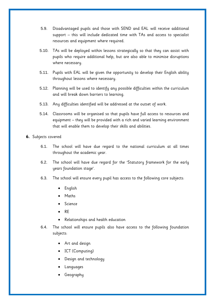- 5.9. Disadvantaged pupils and those with SEND and EAL will receive additional support – this will include dedicated time with TAs and access to specialist resources and equipment where required.
- 5.10. TAs will be deployed within lessons strategically so that they can assist with pupils who require additional help, but are also able to minimise disruptions where necessary.
- 5.11. Pupils with EAL will be given the opportunity to develop their English ability throughout lessons where necessary.
- 5.12. Planning will be used to identify any possible difficulties within the curriculum and will break down barriers to learning.
- 5.13. Any difficulties identified will be addressed at the outset of work.
- 5.14. Classrooms will be organised so that pupils have full access to resources and equipment – they will be provided with a rich and varied learning environment that will enable them to develop their skills and abilities.
- <span id="page-9-0"></span>**6.** Subjects covered
	- 6.1. The school will have due regard to the national curriculum at all times throughout the academic year.
	- 6.2. The school will have due regard for the 'Statutory framework for the early years foundation stage'.
	- 6.3. The school will ensure every pupil has access to the following core subjects:
		- English
		- Maths
		- Science
		- RE
		- Relationships and health education
	- 6.4. The school will ensure pupils also have access to the following foundation subjects:
		- Art and design
		- ICT (Computing)
		- Design and technology
		- Languages
		- Geography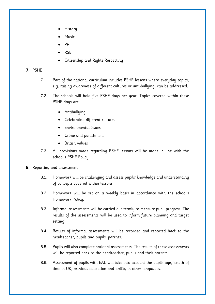- History
- Music
- PE
- RSE
- Citizenship and Rights Respecting

#### <span id="page-10-0"></span>**7.** PSHE

- 7.1. Part of the national curriculum includes PSHE lessons where everyday topics, e.g. raising awareness of different cultures or anti-bullying, can be addressed.
- 7.2. The schools will hold five PSHE days per year. Topics covered within these PSHE days are:
	- Antibullying
	- Celebrating different cultures
	- Environmental issues
	- Crime and punishment
	- British values
- 7.3. All provisions made regarding PSHE lessons will be made in line with the school's PSHE Policy.
- <span id="page-10-1"></span>**8.** Reporting and assessment
	- 8.1. Homework will be challenging and assess pupils' knowledge and understanding of concepts covered within lessons.
	- 8.2. Homework will be set on a weekly basis in accordance with the school's Homework Policy.
	- 8.3. Informal assessments will be carried out termly to measure pupil progress. The results of the assessments will be used to inform future planning and target setting.
	- 8.4. Results of informal assessments will be recorded and reported back to the headteacher, pupils and pupils' parents.
	- 8.5. Pupils will also complete national assessments. The results of these assessments will be reported back to the headteacher, pupils and their parents.
	- 8.6. Assessment of pupils with EAL will take into account the pupils age, length of time in UK, previous education and ability in other languages.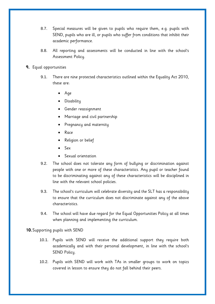- 8.7. Special measures will be given to pupils who require them, e.g. pupils with SEND, pupils who are ill, or pupils who suffer from conditions that inhibit their academic performance.
- 8.8. All reporting and assessments will be conducted in line with the school's Assessment Policy.
- <span id="page-11-0"></span>**9.** Equal opportunities
	- 9.1. There are nine protected characteristics outlined within the Equality Act 2010, these are:
		- Age
		- Disability
		- **•** Gender reassignment
		- Marriage and civil partnership
		- Pregnancy and maternity
		- Race
		- Religion or belief
		- Sex
		- Sexual orientation
	- 9.2. The school does not tolerate any form of bullying or discrimination against people with one or more of these characteristics. Any pupil or teacher found to be discriminating against any of these characteristics will be disciplined in line with the relevant school policies.
	- 9.3. The school's curriculum will celebrate diversity and the SLT has a responsibility to ensure that the curriculum does not discriminate against any of the above characteristics.
	- 9.4. The school will have due regard for the Equal Opportunities Policy at all times when planning and implementing the curriculum.

<span id="page-11-1"></span>**10.**Supporting pupils with SEND

- 10.1. Pupils with SEND will receive the additional support they require both academically and with their personal development, in line with the school's SEND Policy.
- 10.2. Pupils with SEND will work with TAs in smaller groups to work on topics covered in lesson to ensure they do not fall behind their peers.